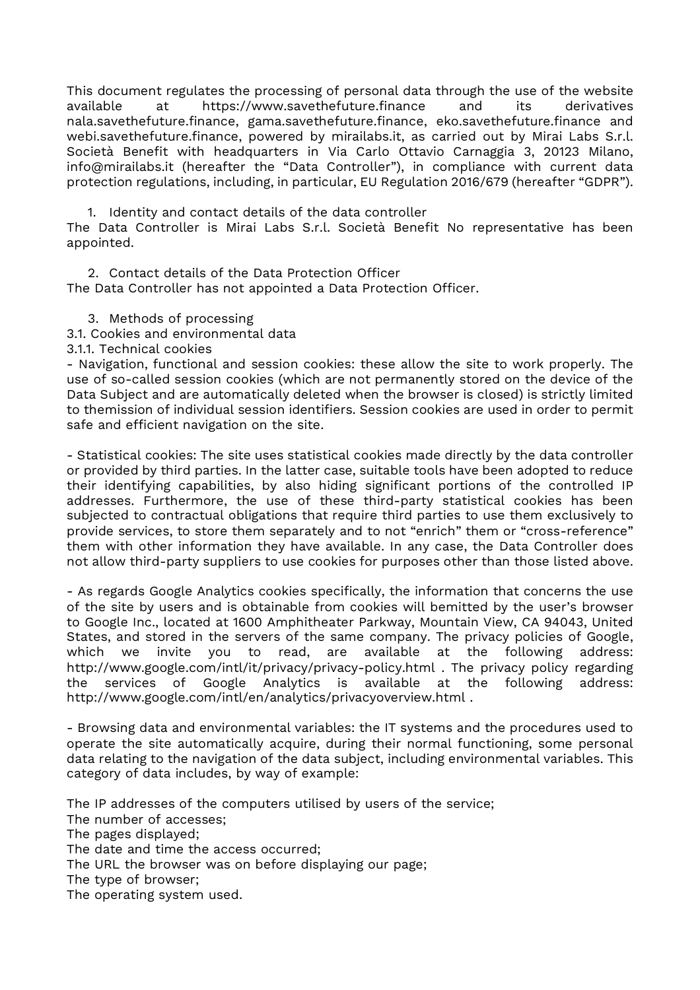This document regulates the processing of personal data through the use of the website available at https://www.savethefuture.finance and its derivatives nala.savethefuture.finance, gama.savethefuture.finance, eko.savethefuture.finance and webi.savethefuture.finance, powered by mirailabs.it, as carried out by Mirai Labs S.r.l. Società Benefit with headquarters in Via Carlo Ottavio Carnaggia 3, 20123 Milano, info@mirailabs.it (hereafter the "Data Controller"), in compliance with current data protection regulations, including, in particular, EU Regulation 2016/679 (hereafter "GDPR").

1. Identity and contact details of the data controller The Data Controller is Mirai Labs S.r.l. Società Benefit No representative has been appointed.

2. Contact details of the Data Protection Officer The Data Controller has not appointed a Data Protection Officer.

3. Methods of processing

3.1. Cookies and environmental data

3.1.1. Technical cookies

- Navigation, functional and session cookies: these allow the site to work properly. The use of so-called session cookies (which are not permanently stored on the device of the Data Subject and are automatically deleted when the browser is closed) is strictly limited to themission of individual session identifiers. Session cookies are used in order to permit safe and efficient navigation on the site.

- Statistical cookies: The site uses statistical cookies made directly by the data controller or provided by third parties. In the latter case, suitable tools have been adopted to reduce their identifying capabilities, by also hiding significant portions of the controlled IP addresses. Furthermore, the use of these third-party statistical cookies has been subjected to contractual obligations that require third parties to use them exclusively to provide services, to store them separately and to not "enrich" them or "cross-reference" them with other information they have available. In any case, the Data Controller does not allow third-party suppliers to use cookies for purposes other than those listed above.

- As regards Google Analytics cookies specifically, the information that concerns the use of the site by users and is obtainable from cookies will bemitted by the user's browser to Google Inc., located at 1600 Amphitheater Parkway, Mountain View, CA 94043, United States, and stored in the servers of the same company. The privacy policies of Google, which we invite you to read, are available at the following address: http://www.google.com/intl/it/privacy/privacy-policy.html . The privacy policy regarding the services of Google Analytics is available at the following address: http://www.google.com/intl/en/analytics/privacyoverview.html .

- Browsing data and environmental variables: the IT systems and the procedures used to operate the site automatically acquire, during their normal functioning, some personal data relating to the navigation of the data subject, including environmental variables. This category of data includes, by way of example:

The IP addresses of the computers utilised by users of the service; The number of accesses;

The pages displayed;

The date and time the access occurred;

The URL the browser was on before displaying our page;

The type of browser;

The operating system used.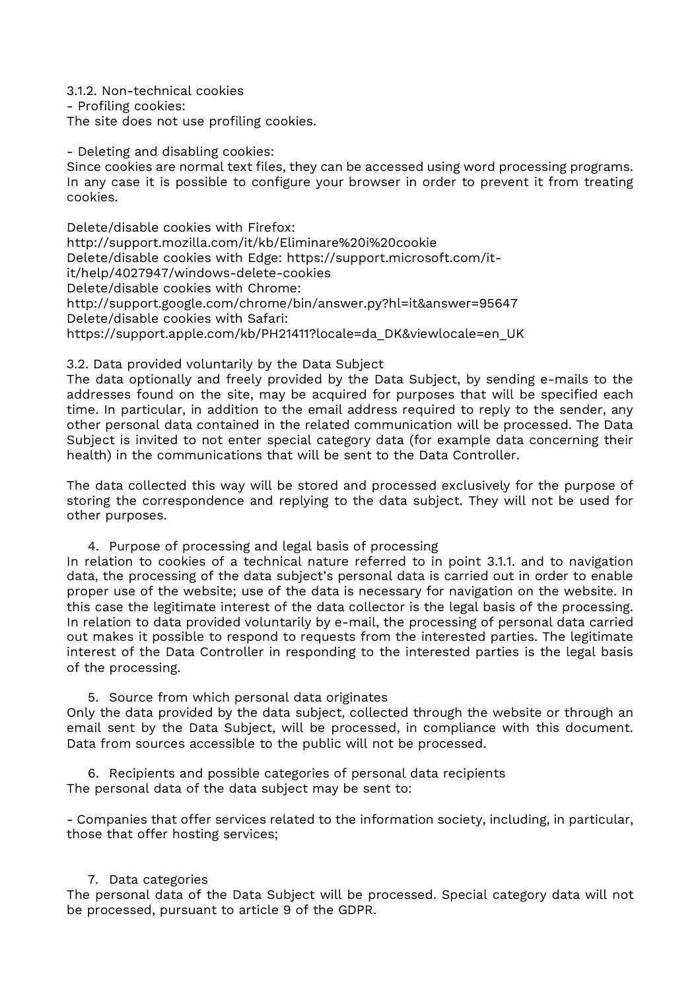3.1.2. Non-technical cookies - Profiling cookies: The site does not use profiling cookies.

- Deleting and disabling cookies:

Since cookies are normal text files, they can be accessed using word processing programs. In any case it is possible to configure your browser in order to prevent it from treating cookies.

Delete/disable cookies with Firefox: http://support.mozilla.com/it/kb/Eliminare%20i%20cookie Delete/disable cookies with Edge: https://support.microsoft.com/itit/help/4027947/windows-delete-cookies Delete/disable cookies with Chrome: http://support.google.com/chrome/bin/answer.py?hl=it&answer=95647 Delete/disable cookies with Safari: https://support.apple.com/kb/PH21411?locale=da\_DK&viewlocale=en\_UK

# 3.2. Data provided voluntarily by the Data Subject

The data optionally and freely provided by the Data Subject, by sending e-mails to the addresses found on the site, may be acquired for purposes that will be specified each time. In particular, in addition to the email address required to reply to the sender, any other personal data contained in the related communication will be processed. The Data Subject is invited to not enter special category data (for example data concerning their health) in the communications that will be sent to the Data Controller.

The data collected this way will be stored and processed exclusively for the purpose of storing the correspondence and replying to the data subject. They will not be used for other purposes.

4. Purpose of processing and legal basis of processing

In relation to cookies of a technical nature referred to in point 3.1.1. and to navigation data, the processing of the data subject's personal data is carried out in order to enable proper use of the website; use of the data is necessary for navigation on the website. In this case the legitimate interest of the data collector is the legal basis of the processing. In relation to data provided voluntarily by e-mail, the processing of personal data carried out makes it possible to respond to requests from the interested parties. The legitimate interest of the Data Controller in responding to the interested parties is the legal basis of the processing.

5. Source from which personal data originates Only the data provided by the data subject, collected through the website or through an email sent by the Data Subject, will be processed, in compliance with this document. Data from sources accessible to the public will not be processed.

6. Recipients and possible categories of personal data recipients The personal data of the data subject may be sent to:

- Companies that offer services related to the information society, including, in particular, those that offer hosting services;

## 7. Data categories

The personal data of the Data Subject will be processed. Special category data will not be processed, pursuant to article 9 of the GDPR.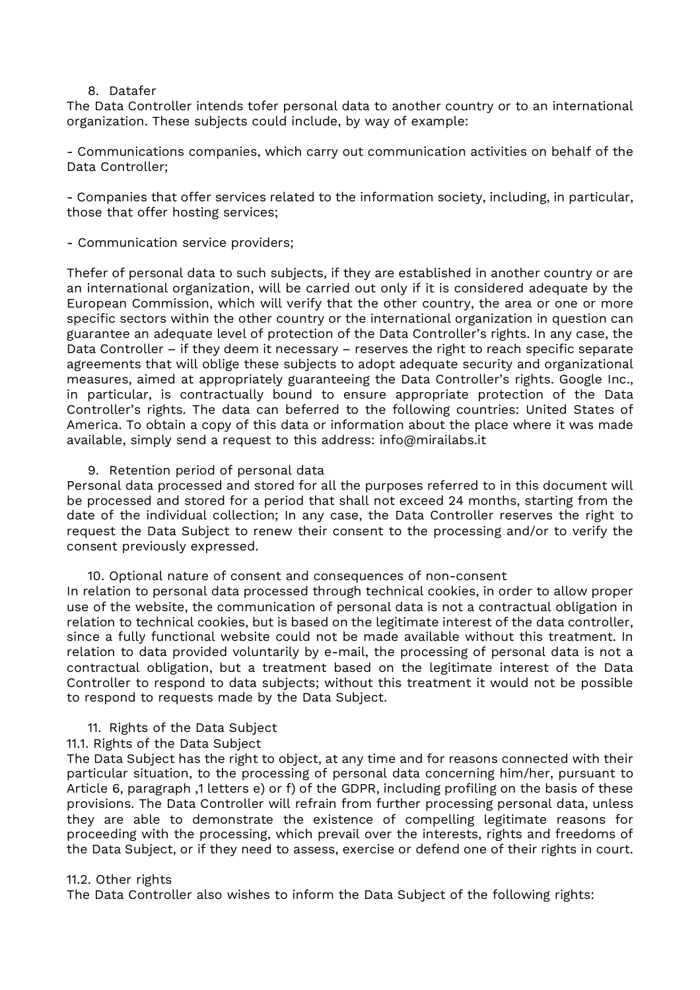### 8. Datafer

The Data Controller intends tofer personal data to another country or to an international organization. These subjects could include, by way of example:

- Communications companies, which carry out communication activities on behalf of the Data Controller;

- Companies that offer services related to the information society, including, in particular, those that offer hosting services;

- Communication service providers;

Thefer of personal data to such subjects, if they are established in another country or are an international organization, will be carried out only if it is considered adequate by the European Commission, which will verify that the other country, the area or one or more specific sectors within the other country or the international organization in question can guarantee an adequate level of protection of the Data Controller's rights. In any case, the Data Controller – if they deem it necessary – reserves the right to reach specific separate agreements that will oblige these subjects to adopt adequate security and organizational measures, aimed at appropriately guaranteeing the Data Controller's rights. Google Inc., in particular, is contractually bound to ensure appropriate protection of the Data Controller's rights. The data can beferred to the following countries: United States of America. To obtain a copy of this data or information about the place where it was made available, simply send a request to this address: info@mirailabs.it

## 9. Retention period of personal data

Personal data processed and stored for all the purposes referred to in this document will be processed and stored for a period that shall not exceed 24 months, starting from the date of the individual collection; In any case, the Data Controller reserves the right to request the Data Subject to renew their consent to the processing and/or to verify the consent previously expressed.

#### 10. Optional nature of consent and consequences of non-consent

In relation to personal data processed through technical cookies, in order to allow proper use of the website, the communication of personal data is not a contractual obligation in relation to technical cookies, but is based on the legitimate interest of the data controller, since a fully functional website could not be made available without this treatment. In relation to data provided voluntarily by e-mail, the processing of personal data is not a contractual obligation, but a treatment based on the legitimate interest of the Data Controller to respond to data subjects; without this treatment it would not be possible to respond to requests made by the Data Subject.

## 11. Rights of the Data Subject

## 11.1. Rights of the Data Subject

The Data Subject has the right to object, at any time and for reasons connected with their particular situation, to the processing of personal data concerning him/her, pursuant to Article 6, paragraph ,1 letters e) or f) of the GDPR, including profiling on the basis of these provisions. The Data Controller will refrain from further processing personal data, unless they are able to demonstrate the existence of compelling legitimate reasons for proceeding with the processing, which prevail over the interests, rights and freedoms of the Data Subject, or if they need to assess, exercise or defend one of their rights in court.

#### 11.2. Other rights

The Data Controller also wishes to inform the Data Subject of the following rights: